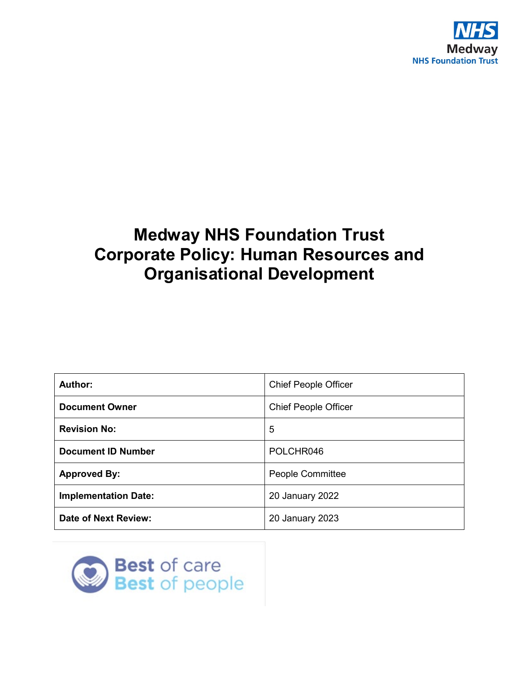

# **Medway NHS Foundation Trust Corporate Policy: Human Resources and Organisational Development**

| Author:                     | <b>Chief People Officer</b> |
|-----------------------------|-----------------------------|
| <b>Document Owner</b>       | <b>Chief People Officer</b> |
| <b>Revision No:</b>         | 5                           |
| <b>Document ID Number</b>   | POLCHR046                   |
| <b>Approved By:</b>         | People Committee            |
| <b>Implementation Date:</b> | 20 January 2022             |
| <b>Date of Next Review:</b> | 20 January 2023             |

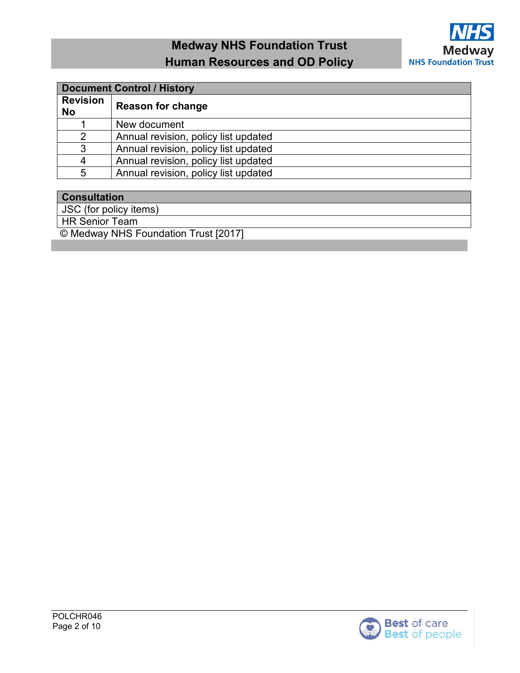

| <b>Document Control / History</b> |                                      |  |  |  |
|-----------------------------------|--------------------------------------|--|--|--|
| <b>Revision</b><br><b>No</b>      | <b>Reason for change</b>             |  |  |  |
|                                   | New document                         |  |  |  |
| 2                                 | Annual revision, policy list updated |  |  |  |
| 3                                 | Annual revision, policy list updated |  |  |  |
| 4                                 | Annual revision, policy list updated |  |  |  |
| 5                                 | Annual revision, policy list updated |  |  |  |

### **Consultation**

JSC (for policy items)

HR Senior Team

© Medway NHS Foundation Trust [2017]

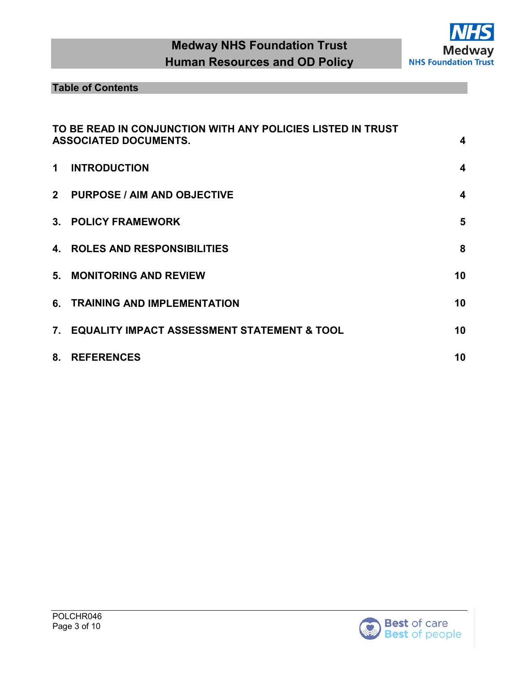

## **Table of Contents**

|                | TO BE READ IN CONJUNCTION WITH ANY POLICIES LISTED IN TRUST |                         |
|----------------|-------------------------------------------------------------|-------------------------|
|                | <b>ASSOCIATED DOCUMENTS.</b>                                | $\boldsymbol{4}$        |
| 1              | <b>INTRODUCTION</b>                                         | $\boldsymbol{4}$        |
| 2 <sup>1</sup> | <b>PURPOSE / AIM AND OBJECTIVE</b>                          | $\overline{\mathbf{4}}$ |
|                | 3. POLICY FRAMEWORK                                         | 5                       |
|                | <b>4. ROLES AND RESPONSIBILITIES</b>                        | 8                       |
|                | 5. MONITORING AND REVIEW                                    | 10                      |
|                | 6. TRAINING AND IMPLEMENTATION                              | 10                      |
|                | 7. EQUALITY IMPACT ASSESSMENT STATEMENT & TOOL              | 10                      |
| 8.             | <b>REFERENCES</b>                                           | 10                      |

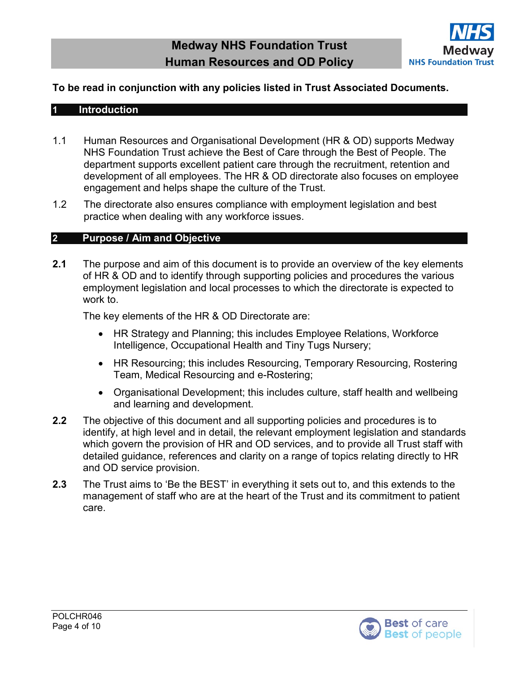

## <span id="page-3-0"></span>**To be read in conjunction with any policies listed in Trust Associated Documents.**

#### <span id="page-3-1"></span>**1 Introduction**

- 1.1 Human Resources and Organisational Development (HR & OD) supports Medway NHS Foundation Trust achieve the Best of Care through the Best of People. The department supports excellent patient care through the recruitment, retention and development of all employees. The HR & OD directorate also focuses on employee engagement and helps shape the culture of the Trust.
- 1.2 The directorate also ensures compliance with employment legislation and best practice when dealing with any workforce issues.

#### <span id="page-3-2"></span>**2 Purpose / Aim and Objective**

**2.1** The purpose and aim of this document is to provide an overview of the key elements of HR & OD and to identify through supporting policies and procedures the various employment legislation and local processes to which the directorate is expected to work to.

The key elements of the HR & OD Directorate are:

- HR Strategy and Planning; this includes Employee Relations, Workforce Intelligence, Occupational Health and Tiny Tugs Nursery;
- HR Resourcing; this includes Resourcing, Temporary Resourcing, Rostering Team, Medical Resourcing and e-Rostering;
- Organisational Development; this includes culture, staff health and wellbeing and learning and development.
- **2.2** The objective of this document and all supporting policies and procedures is to identify, at high level and in detail, the relevant employment legislation and standards which govern the provision of HR and OD services, and to provide all Trust staff with detailed guidance, references and clarity on a range of topics relating directly to HR and OD service provision.
- **2.3** The Trust aims to 'Be the BEST' in everything it sets out to, and this extends to the management of staff who are at the heart of the Trust and its commitment to patient care.

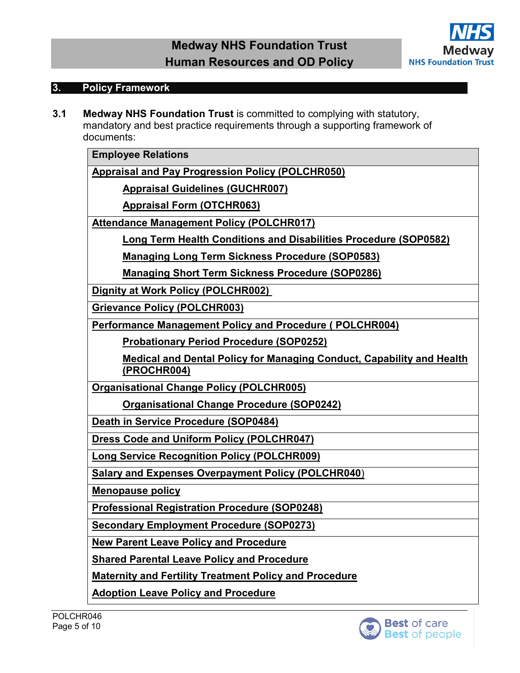

#### <span id="page-4-0"></span>**3. Policy Framework**

**3.1 Medway NHS Foundation Trust** is committed to complying with statutory, mandatory and best practice requirements through a supporting framework of documents:

**Employee Relations**

**[Appraisal and Pay Progression Policy \(POLCHR050\)](http://qpulse-drs.medway.nhs.uk/Corporate/Documents.svc/documents/active/attachment?number=POLCHR050)**

**[Appraisal Guidelines \(GUCHR007\)](http://qpulse-drs.medway.nhs.uk/Corporate/Documents.svc/documents/active/attachment?number=GUCHR007)**

**[Appraisal Form \(OTCHR063\)](http://qpulse-drs.medway.nhs.uk/Corporate/Documents.svc/documents/active/attachment?number=OTCHR063)**

**[Attendance Management Policy \(POLCHR017\)](http://qpulse-drs.medway.nhs.uk/Corporate/Documents.svc/documents/active/attachment?number=POLCHR017)**

**[Long Term Health Conditions and Disabilities Procedure \(SOP0582\)](http://qpulse-drs.medway.nhs.uk/Corporate/Documents.svc/documents/active/attachment?number=SOP0582)**

**[Managing Long Term Sickness Procedure \(SOP0583\)](http://qpulse-drs.medway.nhs.uk/Corporate/Documents.svc/documents/active/attachment?number=SOP0583)**

**[Managing Short Term Sickness Procedure \(SOP0286\)](http://qpulse-drs.medway.nhs.uk/Corporate/Documents.svc/documents/active/attachment?number=SOP0286)**

**Dignity at Work [Policy \(POLCHR002\)](http://qpulse-drs.medway.nhs.uk/Corporate/Documents.svc/documents/active/attachment?number=POLCHR002)** 

**[Grievance Policy \(POLCHR003\)](http://qpulse-drs.medway.nhs.uk/Corporate/Documents.svc/documents/active/attachment?number=POLCHR003)**

**[Performance Management Policy](http://qpulse-drs.medway.nhs.uk/Corporate/Documents.svc/documents/active/attachment?number=POLCHR004) and Procedure ( POLCHR004)**

**[Probationary Period Procedure \(SOP0252\)](http://qpulse-drs.medway.nhs.uk/Corporate/Documents.svc/documents/active/attachment?number=SOP0252)**

**[Medical and Dental Policy for Managing Conduct, Capability and Health](http://qpulse-drs.medway.nhs.uk/Corporate/Documents.svc/documents/active/attachment?number=PROCHR004)  [\(PROCHR004\)](http://qpulse-drs.medway.nhs.uk/Corporate/Documents.svc/documents/active/attachment?number=PROCHR004)**

**[Organisational Change Policy \(POLCHR005\)](http://qpulse-drs.medway.nhs.uk/Corporate/Documents.svc/documents/active/attachment?number=POLCHR005)**

**[Organisational Change Procedure \(SOP0242\)](http://qpulse-drs.medway.nhs.uk/Corporate/Documents.svc/documents/active/attachment?number=SOP0242)** 

**[Death in Service Procedure \(SOP0484\)](http://qpulse-drs.medway.nhs.uk/Corporate/Documents.svc/documents/active/attachment?number=SOP0484)**

**[Dress Code and Uniform Policy \(POLCHR047\)](http://qpulse-drs.medway.nhs.uk/Corporate/Documents.svc/documents/active/attachment?number=POLCHR047)**

**[Long Service Recognition Policy \(POLCHR009\)](http://qpulse-drs.medway.nhs.uk/Corporate/Documents.svc/documents/active/attachment?number=POLCHR009)**

**[Salary and Expenses Overpayment Policy \(POLCHR040](http://qpulse-drs.medway.nhs.uk/Corporate/Documents.svc/documents/active/attachment?number=POLCHR048)**)

**[Menopause policy](https://qpulse-drs.medway.nhs.uk/Corporate/Documents.svc/documents/active/attachment?number=POLCHR053)**

**[Professional Registration Procedure \(SOP0248\)](http://qpulse-drs.medway.nhs.uk/Corporate/Documents.svc/documents/active/attachment?number=SOP0248)**

**[Secondary Employment Procedure \(SOP0273\)](http://qpulse-drs.medway.nhs.uk/Corporate/Documents.svc/documents/active/attachment?number=SOP0273)**

**[New Parent Leave Policy and Procedure](https://qpulse-drs.medway.nhs.uk/Corporate/Documents.svc/documents/active/attachment?number=DOC654)**

**[Shared Parental Leave Policy and Procedure](https://qpulse-drs.medway.nhs.uk/Corporate/Documents.svc/documents/active/attachment?number=DOC658)**

**[Maternity and Fertility Treatment Policy and Procedure](https://qpulse-drs.medway.nhs.uk/Corporate/Documents.svc/documents/active/attachment?number=POLCHR019d)**

**[Adoption Leave Policy and Procedure](https://qpulse-drs.medway.nhs.uk/Corporate/Documents.svc/documents/active/attachment?number=POLCHR019d)**

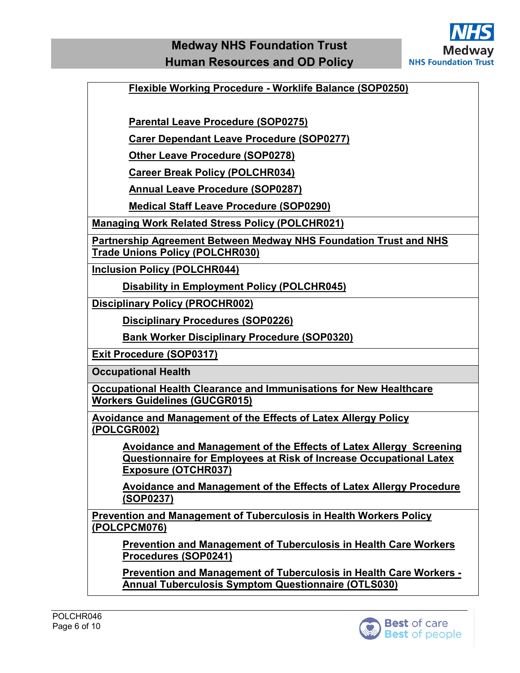

 **[Flexible Working Procedure -](http://qpulse-drs.medway.nhs.uk/Corporate/Documents.svc/documents/active/attachment?number=SOP0250) Worklife Balance (SOP0250)**

 **[Parental Leave Procedure \(SOP0275\)](https://qpulse-drs.medway.nhs.uk/Corporate/Documents.svc/documents/active/attachment?number=DOC648)**

 **[Carer Dependant Leave Procedure \(SOP0277\)](http://qpulse-drs.medway.nhs.uk/Corporate/Documents.svc/documents/active/attachment?number=SOP0277)**

 **[Other Leave Procedure \(SOP0278\)](http://qpulse-drs.medway.nhs.uk/Corporate/Documents.svc/documents/active/attachment?number=SOP0278)**

 **[Career Break Policy \(POLCHR034\)](http://qpulse-drs.medway.nhs.uk/Corporate/Documents.svc/documents/active/attachment?number=POLCHR034)**

 **[Annual Leave Procedure \(SOP0287\)](http://qpulse-drs.medway.nhs.uk/Corporate/Documents.svc/documents/active/attachment?number=SOP0287)**

 **[Medical Staff Leave Procedure \(SOP0290\)](http://qpulse-drs.medway.nhs.uk/Corporate/Documents.svc/documents/active/attachment?number=SOP0290)** 

**[Managing Work Related Stress Policy \(POLCHR021\)](http://qpulse-drs.medway.nhs.uk/Corporate/Documents.svc/documents/active/attachment?number=POLCHR021)**

**[Partnership Agreement Between Medway NHS Foundation Trust and NHS](http://qpulse-drs.medway.nhs.uk/Corporate/Documents.svc/documents/active/attachment?number=POLCHR030)  [Trade Unions Policy \(POLCHR030\)](http://qpulse-drs.medway.nhs.uk/Corporate/Documents.svc/documents/active/attachment?number=POLCHR030)**

**[Inclusion Policy \(POLCHR044\)](http://qpulse-drs.medway.nhs.uk/Corporate/Documents.svc/documents/active/attachment?number=POLCHR044)**

**[Disability in Employment Policy \(POLCHR045\)](http://qpulse-drs.medway.nhs.uk/Corporate/Documents.svc/documents/active/attachment?number=POLCHR045)**

**[Disciplinary Policy \(PROCHR002\)](http://qpulse-drs.medway.nhs.uk/Corporate/Documents.svc/documents/active/attachment?number=PROCHR002)**

**[Disciplinary Procedures \(SOP0226\)](http://qpulse-drs.medway.nhs.uk/Corporate/Documents.svc/documents/active/attachment?number=SOP0226)**

**[Bank Worker Disciplinary Procedure \(SOP0320\)](http://qpulse-drs.medway.nhs.uk/Corporate/Documents.svc/documents/active/attachment?number=SOP0320)** 

**[Exit Procedure \(SOP0317\)](http://qpulse-drs.medway.nhs.uk/Corporate/Documents.svc/documents/active/attachment?number=SOP0317)**

**Occupational Health**

**[Occupational Health Clearance and Immunisations for New Healthcare](http://qpulse-drs.medway.nhs.uk/Corporate/Documents.svc/documents/active/attachment?number=SOP0393)  [Workers Guidelines \(GUCGR015\)](http://qpulse-drs.medway.nhs.uk/Corporate/Documents.svc/documents/active/attachment?number=SOP0393)**

**[Avoidance and Management of the Effects of Latex Allergy Policy](http://qpulse-drs.medway.nhs.uk/Corporate/Documents.svc/documents/active/attachment?number=POLCGR002)  [\(POLCGR002\)](http://qpulse-drs.medway.nhs.uk/Corporate/Documents.svc/documents/active/attachment?number=POLCGR002)**

**[Avoidance and Management of the Effects of Latex Allergy Screening](http://qpulse-drs.medway.nhs.uk/Corporate/Documents.svc/documents/active/attachment?number=OTCHR037)  [Questionnaire for Employees at Risk of Increase Occupational Latex](http://qpulse-drs.medway.nhs.uk/Corporate/Documents.svc/documents/active/attachment?number=OTCHR037)  [Exposure \(OTCHR037\)](http://qpulse-drs.medway.nhs.uk/Corporate/Documents.svc/documents/active/attachment?number=OTCHR037)**

**[Avoidance and Management of the Effects of Latex Allergy Procedure](http://qpulse-drs.medway.nhs.uk/Corporate/Documents.svc/documents/active/attachment?number=SOP0237)  [\(SOP0237\)](http://qpulse-drs.medway.nhs.uk/Corporate/Documents.svc/documents/active/attachment?number=SOP0237)**

**[Prevention and Management of Tuberculosis in Health Workers Policy](http://qpulse-drs.medway.nhs.uk/Corporate/Documents.svc/documents/active/attachment?number=POLCPCM076)  [\(POLCPCM076\)](http://qpulse-drs.medway.nhs.uk/Corporate/Documents.svc/documents/active/attachment?number=POLCPCM076)**

**[Prevention and Management of Tuberculosis in Health Care Workers](http://qpulse-drs.medway.nhs.uk/Corporate/Documents.svc/documents/active/attachment?number=SOP0241)  [Procedures \(SOP0241\)](http://qpulse-drs.medway.nhs.uk/Corporate/Documents.svc/documents/active/attachment?number=SOP0241)** 

**[Prevention and Management of Tuberculosis in Health Care Workers -](http://qpulse-drs.medway.nhs.uk/Corporate/Documents.svc/documents/active/attachment?number=OTLS030) [Annual Tuberculosis Symptom Questionnaire \(OTLS030\)](http://qpulse-drs.medway.nhs.uk/Corporate/Documents.svc/documents/active/attachment?number=OTLS030)**

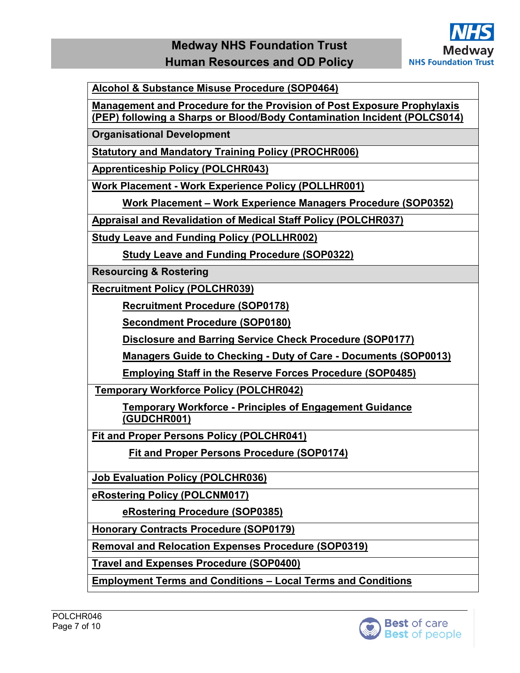

**[Alcohol & Substance Misuse Procedure \(SOP0464\)](http://qpulse-drs.medway.nhs.uk/Corporate/Documents.svc/documents/active/attachment?number=SOP0464)**

**[Management and Procedure for the Provision of Post Exposure Prophylaxis](http://qpulse-drs.medway.nhs.uk/Corporate/Documents.svc/documents/active/attachment?number=POLCS014)  [\(PEP\) following a Sharps or Blood/Body Contamination Incident \(POLCS014\)](http://qpulse-drs.medway.nhs.uk/Corporate/Documents.svc/documents/active/attachment?number=POLCS014)**

**Organisational Development** 

**[Statutory and Mandatory Training Policy \(PROCHR006\)](http://qpulse-drs.medway.nhs.uk/Corporate/Documents.svc/documents/active/attachment?number=PROCHR006)** 

**[Apprenticeship Policy \(POLCHR043\)](http://qpulse-drs.medway.nhs.uk/Corporate/Documents.svc/documents/active/attachment?number=POLCHR043)**

**Work Placement - [Work Experience Policy \(POLLHR001\)](http://qpulse-drs.medway.nhs.uk/Corporate/Documents.svc/documents/active/attachment?number=POLLHR001)**

**Work Placement – [Work Experience Managers Procedure \(SOP0352\)](http://qpulse-drs.medway.nhs.uk/Corporate/Documents.svc/documents/active/attachment?number=SOP0352)**

**[Appraisal and Revalidation of Medical Staff Policy \(POLCHR037\)](http://qpulse-drs.medway.nhs.uk/Corporate/Documents.svc/documents/active/attachment?number=POLCHR037)**

**[Study Leave and Funding Policy \(POLLHR002\)](http://qpulse-drs.medway.nhs.uk/Corporate/Documents.svc/documents/active/attachment?number=POLLHR002)**

**[Study Leave and Funding Procedure \(SOP0322\)](http://qpulse-drs.medway.nhs.uk/Corporate/Documents.svc/documents/active/attachment?number=SOP0322)**

**Resourcing & Rostering**

**[Recruitment Policy \(POLCHR039\)](http://qpulse-drs.medway.nhs.uk/Corporate/Documents.svc/documents/active/attachment?number=POLCHR039)**

**[Recruitment Procedure \(SOP0178\)](http://qpulse-drs.medway.nhs.uk/Corporate/Documents.svc/documents/active/attachment?number=SOP0178)**

**[Secondment Procedure \(SOP0180\)](http://qpulse-drs.medway.nhs.uk/Corporate/Documents.svc/documents/active/attachment?number=SOP0180)**

**[Disclosure and Barring Service Check Procedure \(SOP0177\)](http://qpulse-drs.medway.nhs.uk/Corporate/Documents.svc/documents/active/attachment?number=SOP0177)**

**[Managers Guide to Checking -](http://qpulse-drs.medway.nhs.uk/Corporate/Documents.svc/documents/active/attachment?number=SOP0013) Duty of Care - Documents (SOP0013)**

**[Employing Staff in the Reserve Forces Procedure \(SOP0485\)](http://qpulse-drs.medway.nhs.uk/Corporate/Documents.svc/documents/active/attachment?number=SOP0485)**

**[Temporary Workforce Policy \(POLCHR042\)](http://qpulse-drs.medway.nhs.uk/Corporate/Documents.svc/documents/active/attachment?number=POLCHR042)**

**Temporary Workforce - [Principles of Engagement Guidance](http://qpulse-drs.medway.nhs.uk/Corporate/Documents.svc/documents/active/attachment?number=GUDCHR001)  [\(GUDCHR001\)](http://qpulse-drs.medway.nhs.uk/Corporate/Documents.svc/documents/active/attachment?number=GUDCHR001)**

**[Fit and Proper Persons Policy \(POLCHR041\)](http://qpulse-drs.medway.nhs.uk/Corporate/Documents.svc/documents/active/attachment?number=POLCHR041)**

**Fit and Proper Persons Procedure (SOP0174)** 

**[Job Evaluation Policy \(POLCHR036\)](http://qpulse-drs.medway.nhs.uk/Corporate/Documents.svc/documents/active/attachment?number=POLCHR036)**

**[eRostering Policy \(POLCNM017\)](http://qpulse-drs.medway.nhs.uk/Corporate/Documents.svc/documents/active/attachment?number=POLCNM017)**

**[eRostering Procedure \(SOP0385\)](http://qpulse-drs.medway.nhs.uk/Corporate/Documents.svc/documents/active/attachment?number=SOP0385)**

**[Honorary Contracts Procedure \(SOP0179\)](http://qpulse-drs.medway.nhs.uk/Corporate/Documents.svc/documents/active/attachment?number=SOP0179)**

**[Removal and Relocation Expenses Procedure \(SOP0319\)](http://qpulse-drs.medway.nhs.uk/Corporate/Documents.svc/documents/active/attachment?number=SOP0319)**

**[Travel and Expenses Procedure \(SOP0400\)](http://qpulse-drs.medway.nhs.uk/Corporate/Documents.svc/documents/active/attachment?number=SOP0400)**

**[Employment Terms and Conditions –](http://qpulse-drs.medway.nhs.uk/Corporate/Documents.svc/documents/active/attachment?number=OTCHR004) Local Terms and Conditions**

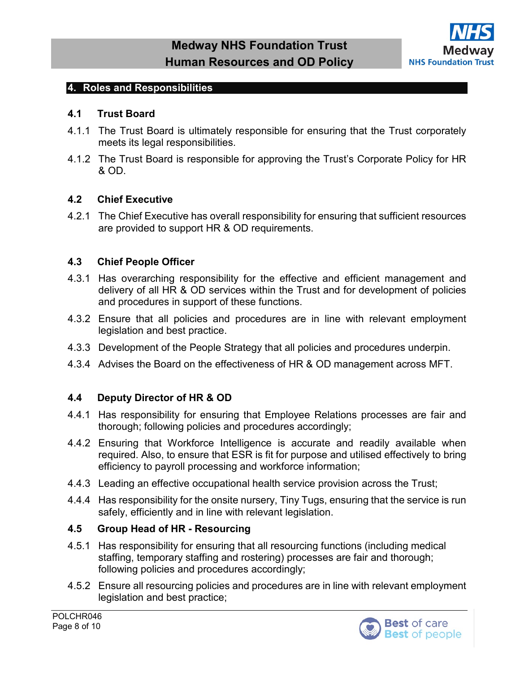

#### <span id="page-7-0"></span>**4. Roles and Responsibilities**

#### **4.1 Trust Board**

- 4.1.1 The Trust Board is ultimately responsible for ensuring that the Trust corporately meets its legal responsibilities.
- 4.1.2 The Trust Board is responsible for approving the Trust's Corporate Policy for HR & OD.

#### **4.2 Chief Executive**

4.2.1 The Chief Executive has overall responsibility for ensuring that sufficient resources are provided to support HR & OD requirements.

#### **4.3 Chief People Officer**

- 4.3.1 Has overarching responsibility for the effective and efficient management and delivery of all HR & OD services within the Trust and for development of policies and procedures in support of these functions.
- 4.3.2 Ensure that all policies and procedures are in line with relevant employment legislation and best practice.
- 4.3.3 Development of the People Strategy that all policies and procedures underpin.
- 4.3.4 Advises the Board on the effectiveness of HR & OD management across MFT.

#### **4.4 Deputy Director of HR & OD**

- 4.4.1 Has responsibility for ensuring that Employee Relations processes are fair and thorough; following policies and procedures accordingly;
- 4.4.2 Ensuring that Workforce Intelligence is accurate and readily available when required. Also, to ensure that ESR is fit for purpose and utilised effectively to bring efficiency to payroll processing and workforce information;
- 4.4.3 Leading an effective occupational health service provision across the Trust;
- 4.4.4 Has responsibility for the onsite nursery, Tiny Tugs, ensuring that the service is run safely, efficiently and in line with relevant legislation.

#### **4.5 Group Head of HR - Resourcing**

- 4.5.1 Has responsibility for ensuring that all resourcing functions (including medical staffing, temporary staffing and rostering) processes are fair and thorough; following policies and procedures accordingly;
- 4.5.2 Ensure all resourcing policies and procedures are in line with relevant employment legislation and best practice;

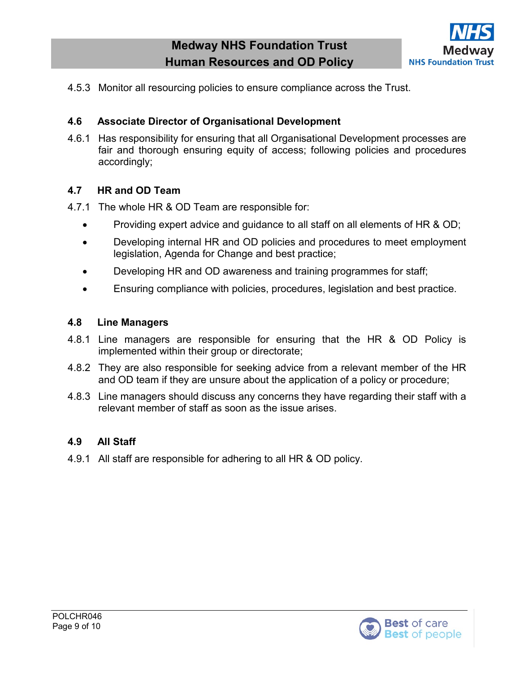

4.5.3 Monitor all resourcing policies to ensure compliance across the Trust.

### **4.6 Associate Director of Organisational Development**

4.6.1 Has responsibility for ensuring that all Organisational Development processes are fair and thorough ensuring equity of access; following policies and procedures accordingly;

#### **4.7 HR and OD Team**

4.7.1 The whole HR & OD Team are responsible for:

- Providing expert advice and guidance to all staff on all elements of HR & OD;
- Developing internal HR and OD policies and procedures to meet employment legislation, Agenda for Change and best practice;
- Developing HR and OD awareness and training programmes for staff;
- Ensuring compliance with policies, procedures, legislation and best practice.

#### **4.8 Line Managers**

- 4.8.1 Line managers are responsible for ensuring that the HR & OD Policy is implemented within their group or directorate;
- 4.8.2 They are also responsible for seeking advice from a relevant member of the HR and OD team if they are unsure about the application of a policy or procedure;
- 4.8.3 Line managers should discuss any concerns they have regarding their staff with a relevant member of staff as soon as the issue arises.

### **4.9 All Staff**

4.9.1 All staff are responsible for adhering to all HR & OD policy.